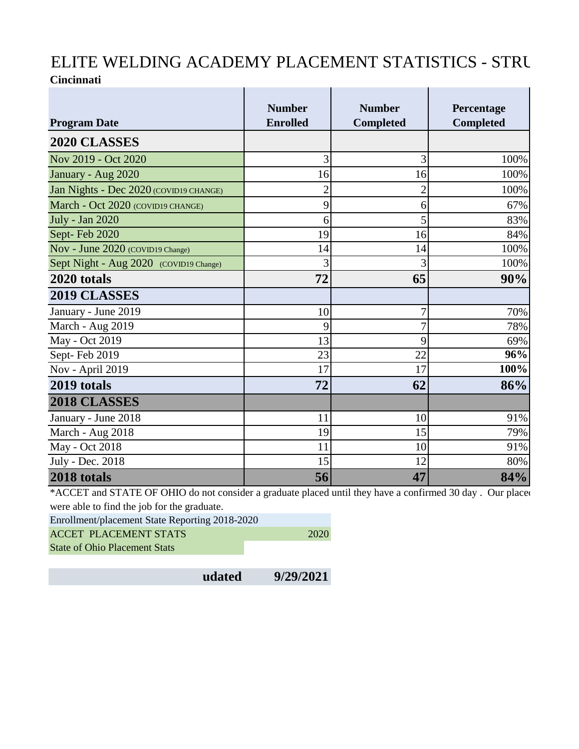## ELITE WELDING ACADEMY PLACEMENT STATISTICS - STRU **Cincinnati**  $\mathbf{L}$  $\mathbf{L}$ Î. Ī.

|                                        | <b>Number</b>   | <b>Number</b>    | Percentage       |
|----------------------------------------|-----------------|------------------|------------------|
| <b>Program Date</b>                    | <b>Enrolled</b> | <b>Completed</b> | <b>Completed</b> |
| 2020 CLASSES                           |                 |                  |                  |
| Nov 2019 - Oct 2020                    | 3               | 3                | 100%             |
| January - Aug 2020                     | 16              | 16               | 100%             |
| Jan Nights - Dec 2020 (COVID19 CHANGE) | $\overline{2}$  | $\overline{2}$   | 100%             |
| March - Oct 2020 (COVID19 CHANGE)      | 9               | 6                | 67%              |
| July - Jan 2020                        | 6               | 5                | 83%              |
| Sept-Feb 2020                          | 19              | 16               | 84%              |
| Nov - June 2020 (COVID19 Change)       | 14              | 14               | 100%             |
| Sept Night - Aug 2020 (COVID19 Change) | 3               | 3                | 100%             |
| 2020 totals                            | 72              | 65               | 90%              |
| 2019 CLASSES                           |                 |                  |                  |
| January - June 2019                    | 10              | $\overline{7}$   | 70%              |
| March - Aug 2019                       | 9               | 7                | 78%              |
| May - Oct 2019                         | 13              | 9                | 69%              |
| Sept-Feb 2019                          | 23              | 22               | 96%              |
| Nov - April 2019                       | 17              | 17               | 100%             |
| 2019 totals                            | 72              | 62               | 86%              |
| 2018 CLASSES                           |                 |                  |                  |
| January - June 2018                    | 11              | 10               | 91%              |
| March - Aug 2018                       | 19              | 15               | 79%              |
| May - Oct 2018                         | 11              | 10               | 91%              |
| July - Dec. 2018                       | 15              | 12               | 80%              |
| 2018 totals                            | 56              | 47               | 84%              |

\*ACCET and STATE OF OHIO do not consider a graduate placed until they have a confirmed 30 day . Our placed were able to find the job for the graduate.

Enrollment/placement State Reporting 2018-2020

ACCET PLACEMENT STATS 2020

State of Ohio Placement Stats

**udated 9/29/2021**